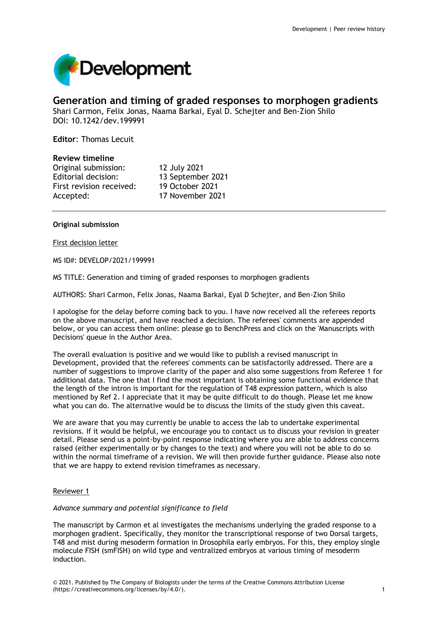

# **Generation and timing of graded responses to morphogen gradients**

Shari Carmon, Felix Jonas, Naama Barkai, Eyal D. Schejter and Ben-Zion Shilo DOI: 10.1242/dev.199991

**Editor**: Thomas Lecuit

# **Review timeline**

Original submission: 12 July 2021 Editorial decision: 13 September 2021 First revision received: 19 October 2021 Accepted: 17 November 2021

# **Original submission**

First decision letter

MS ID#: DEVELOP/2021/199991

MS TITLE: Generation and timing of graded responses to morphogen gradients

AUTHORS: Shari Carmon, Felix Jonas, Naama Barkai, Eyal D Schejter, and Ben-Zion Shilo

I apologise for the delay beforre coming back to you. I have now received all the referees reports on the above manuscript, and have reached a decision. The referees' comments are appended below, or you can access them online: please go to BenchPress and click on the 'Manuscripts with Decisions' queue in the Author Area.

The overall evaluation is positive and we would like to publish a revised manuscript in Development, provided that the referees' comments can be satisfactorily addressed. There are a number of suggestions to improve clarity of the paper and also some suggestions from Referee 1 for additional data. The one that I find the most important is obtaining some functional evidence that the length of the intron is important for the regulation of T48 expression pattern, which is also mentioned by Ref 2. I appreciate that it may be quite difficult to do though. Please let me know what you can do. The alternative would be to discuss the limits of the study given this caveat.

We are aware that you may currently be unable to access the lab to undertake experimental revisions. If it would be helpful, we encourage you to contact us to discuss your revision in greater detail. Please send us a point-by-point response indicating where you are able to address concerns raised (either experimentally or by changes to the text) and where you will not be able to do so within the normal timeframe of a revision. We will then provide further guidance. Please also note that we are happy to extend revision timeframes as necessary.

# Reviewer 1

### *Advance summary and potential significance to field*

The manuscript by Carmon et al investigates the mechanisms underlying the graded response to a morphogen gradient. Specifically, they monitor the transcriptional response of two Dorsal targets, T48 and mist during mesoderm formation in Drosophila early embryos. For this, they employ single molecule FISH (smFISH) on wild type and ventralized embryos at various timing of mesoderm induction.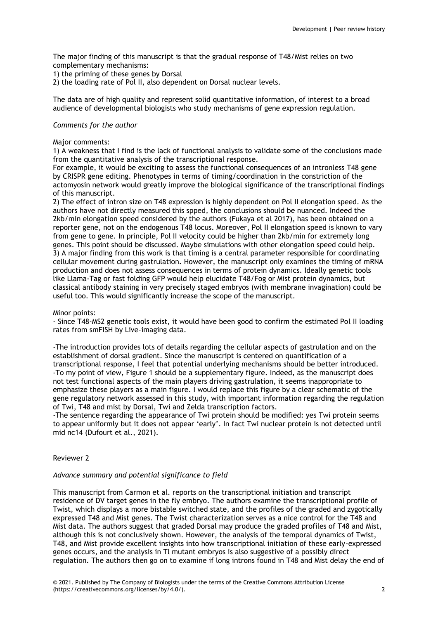The major finding of this manuscript is that the gradual response of T48/Mist relies on two complementary mechanisms:

1) the priming of these genes by Dorsal

2) the loading rate of Pol II, also dependent on Dorsal nuclear levels.

The data are of high quality and represent solid quantitative information, of interest to a broad audience of developmental biologists who study mechanisms of gene expression regulation.

### *Comments for the author*

### Major comments:

1) A weakness that I find is the lack of functional analysis to validate some of the conclusions made from the quantitative analysis of the transcriptional response.

For example, it would be exciting to assess the functional consequences of an intronless T48 gene by CRISPR gene editing. Phenotypes in terms of timing/coordination in the constriction of the actomyosin network would greatly improve the biological significance of the transcriptional findings of this manuscript.

2) The effect of intron size on T48 expression is highly dependent on Pol II elongation speed. As the authors have not directly measured this spped, the conclusions should be nuanced. Indeed the 2kb/min elongation speed considered by the authors (Fukaya et al 2017), has been obtained on a reporter gene, not on the endogenous T48 locus. Moreover, Pol II elongation speed is known to vary from gene to gene. In principle, Pol II velocity could be higher than 2kb/min for extremely long genes. This point should be discussed. Maybe simulations with other elongation speed could help. 3) A major finding from this work is that timing is a central parameter responsible for coordinating cellular movement during gastrulation. However, the manuscript only examines the timing of mRNA production and does not assess consequences in terms of protein dynamics. Ideally genetic tools like Llama-Tag or fast folding GFP would help elucidate T48/Fog or Mist protein dynamics, but classical antibody staining in very precisely staged embryos (with membrane invagination) could be useful too. This would significantly increase the scope of the manuscript.

#### Minor points:

- Since T48-MS2 genetic tools exist, it would have been good to confirm the estimated Pol II loading rates from smFISH by Live-imaging data.

-The introduction provides lots of details regarding the cellular aspects of gastrulation and on the establishment of dorsal gradient. Since the manuscript is centered on quantification of a transcriptional response, I feel that potential underlying mechanisms should be better introduced. -To my point of view, Figure 1 should be a supplementary figure. Indeed, as the manuscript does not test functional aspects of the main players driving gastrulation, it seems inappropriate to emphasize these players as a main figure. I would replace this figure by a clear schematic of the gene regulatory network assessed in this study, with important information regarding the regulation of Twi, T48 and mist by Dorsal, Twi and Zelda transcription factors.

-The sentence regarding the appearance of Twi protein should be modified: yes Twi protein seems to appear uniformly but it does not appear 'early'. In fact Twi nuclear protein is not detected until mid nc14 (Dufourt et al., 2021).

### Reviewer 2

### *Advance summary and potential significance to field*

This manuscript from Carmon et al. reports on the transcriptional initiation and transcript residence of DV target genes in the fly embryo. The authors examine the transcriptional profile of Twist, which displays a more bistable switched state, and the profiles of the graded and zygotically expressed T48 and Mist genes. The Twist characterization serves as a nice control for the T48 and Mist data. The authors suggest that graded Dorsal may produce the graded profiles of T48 and Mist, although this is not conclusively shown. However, the analysis of the temporal dynamics of Twist, T48, and Mist provide excellent insights into how transcriptional initiation of these early-expressed genes occurs, and the analysis in Tl mutant embryos is also suggestive of a possibly direct regulation. The authors then go on to examine if long introns found in T48 and Mist delay the end of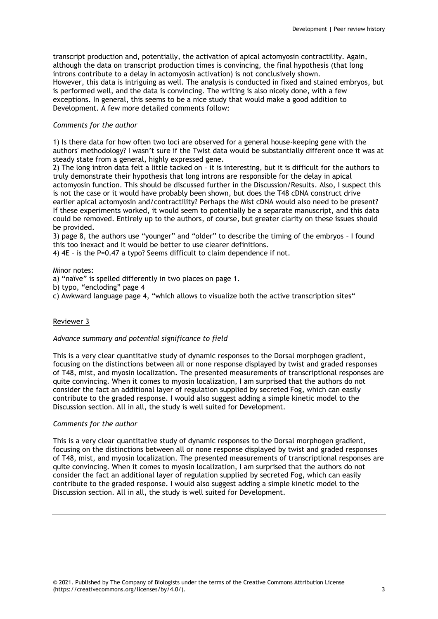transcript production and, potentially, the activation of apical actomyosin contractility. Again, although the data on transcript production times is convincing, the final hypothesis (that long introns contribute to a delay in actomyosin activation) is not conclusively shown. However, this data is intriguing as well. The analysis is conducted in fixed and stained embryos, but is performed well, and the data is convincing. The writing is also nicely done, with a few exceptions. In general, this seems to be a nice study that would make a good addition to Development. A few more detailed comments follow:

### *Comments for the author*

1) Is there data for how often two loci are observed for a general house-keeping gene with the authors' methodology? I wasn't sure if the Twist data would be substantially different once it was at steady state from a general, highly expressed gene.

2) The long intron data felt a little tacked on – it is interesting, but it is difficult for the authors to truly demonstrate their hypothesis that long introns are responsible for the delay in apical actomyosin function. This should be discussed further in the Discussion/Results. Also, I suspect this is not the case or it would have probably been shown, but does the T48 cDNA construct drive earlier apical actomyosin and/contractility? Perhaps the Mist cDNA would also need to be present? If these experiments worked, it would seem to potentially be a separate manuscript, and this data could be removed. Entirely up to the authors, of course, but greater clarity on these issues should be provided.

3) page 8, the authors use "younger" and "older" to describe the timing of the embryos – I found this too inexact and it would be better to use clearer definitions.

4) 4E – is the P=0.47 a typo? Seems difficult to claim dependence if not.

#### Minor notes:

a) "naïve" is spelled differently in two places on page 1.

b) typo, "encloding" page 4

c) Awkward language page 4, "which allows to visualize both the active transcription sites"

### Reviewer 3

### *Advance summary and potential significance to field*

This is a very clear quantitative study of dynamic responses to the Dorsal morphogen gradient, focusing on the distinctions between all or none response displayed by twist and graded responses of T48, mist, and myosin localization. The presented measurements of transcriptional responses are quite convincing. When it comes to myosin localization, I am surprised that the authors do not consider the fact an additional layer of regulation supplied by secreted Fog, which can easily contribute to the graded response. I would also suggest adding a simple kinetic model to the Discussion section. All in all, the study is well suited for Development.

### *Comments for the author*

This is a very clear quantitative study of dynamic responses to the Dorsal morphogen gradient, focusing on the distinctions between all or none response displayed by twist and graded responses of T48, mist, and myosin localization. The presented measurements of transcriptional responses are quite convincing. When it comes to myosin localization, I am surprised that the authors do not consider the fact an additional layer of regulation supplied by secreted Fog, which can easily contribute to the graded response. I would also suggest adding a simple kinetic model to the Discussion section. All in all, the study is well suited for Development.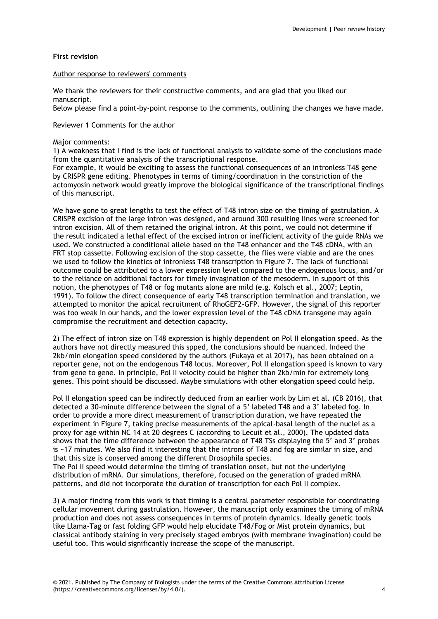# **First revision**

#### Author response to reviewers' comments

We thank the reviewers for their constructive comments, and are glad that you liked our manuscript.

Below please find a point-by-point response to the comments, outlining the changes we have made.

Reviewer 1 Comments for the author

### Major comments:

1) A weakness that I find is the lack of functional analysis to validate some of the conclusions made from the quantitative analysis of the transcriptional response.

For example, it would be exciting to assess the functional consequences of an intronless T48 gene by CRISPR gene editing. Phenotypes in terms of timing/coordination in the constriction of the actomyosin network would greatly improve the biological significance of the transcriptional findings of this manuscript.

We have gone to great lengths to test the effect of T48 intron size on the timing of gastrulation. A CRISPR excision of the large intron was designed, and around 300 resulting lines were screened for intron excision. All of them retained the original intron. At this point, we could not determine if the result indicated a lethal effect of the excised intron or inefficient activity of the guide RNAs we used. We constructed a conditional allele based on the T48 enhancer and the T48 cDNA, with an FRT stop cassette. Following excision of the stop cassette, the flies were viable and are the ones we used to follow the kinetics of intronless T48 transcription in Figure 7. The lack of functional outcome could be attributed to a lower expression level compared to the endogenous locus, and/or to the reliance on additional factors for timely invagination of the mesoderm. In support of this notion, the phenotypes of T48 or fog mutants alone are mild (e.g. Kolsch et al., 2007; Leptin, 1991). To follow the direct consequence of early T48 transcription termination and translation, we attempted to monitor the apical recruitment of RhoGEF2-GFP. However, the signal of this reporter was too weak in our hands, and the lower expression level of the T48 cDNA transgene may again compromise the recruitment and detection capacity.

2) The effect of intron size on T48 expression is highly dependent on Pol II elongation speed. As the authors have not directly measured this spped, the conclusions should be nuanced. Indeed the 2kb/min elongation speed considered by the authors (Fukaya et al 2017), has been obtained on a reporter gene, not on the endogenous T48 locus. Moreover, Pol II elongation speed is known to vary from gene to gene. In principle, Pol II velocity could be higher than 2kb/min for extremely long genes. This point should be discussed. Maybe simulations with other elongation speed could help.

Pol II elongation speed can be indirectly deduced from an earlier work by Lim et al. (CB 2016), that detected a 30-minute difference between the signal of a 5' labeled T48 and a 3' labeled fog. In order to provide a more direct measurement of transcription duration, we have repeated the experiment in Figure 7, taking precise measurements of the apical-basal length of the nuclei as a proxy for age within NC 14 at 20 degrees C (according to Lecuit et al., 2000). The updated data shows that the time difference between the appearance of T48 TSs displaying the 5' and 3' probes is ~17 minutes. We also find it interesting that the introns of T48 and fog are similar in size, and that this size is conserved among the different Drosophila species.

The Pol II speed would determine the timing of translation onset, but not the underlying distribution of mRNA. Our simulations, therefore, focused on the generation of graded mRNA patterns, and did not incorporate the duration of transcription for each Pol II complex.

3) A major finding from this work is that timing is a central parameter responsible for coordinating cellular movement during gastrulation. However, the manuscript only examines the timing of mRNA production and does not assess consequences in terms of protein dynamics. Ideally genetic tools like Llama-Tag or fast folding GFP would help elucidate T48/Fog or Mist protein dynamics, but classical antibody staining in very precisely staged embryos (with membrane invagination) could be useful too. This would significantly increase the scope of the manuscript.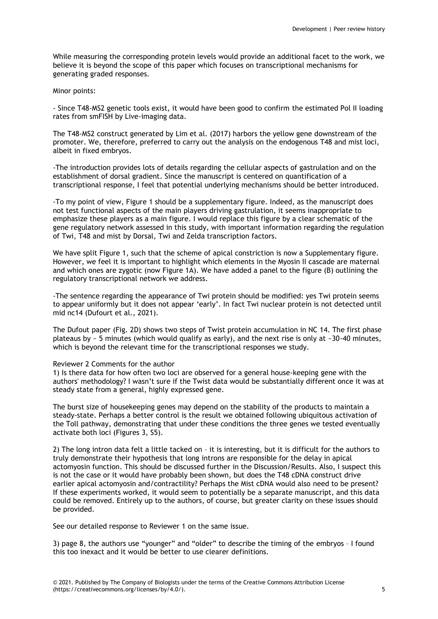While measuring the corresponding protein levels would provide an additional facet to the work, we believe it is beyond the scope of this paper which focuses on transcriptional mechanisms for generating graded responses.

Minor points:

- Since T48-MS2 genetic tools exist, it would have been good to confirm the estimated Pol II loading rates from smFISH by Live-imaging data.

The T48-MS2 construct generated by Lim et al. (2017) harbors the yellow gene downstream of the promoter. We, therefore, preferred to carry out the analysis on the endogenous T48 and mist loci, albeit in fixed embryos.

-The introduction provides lots of details regarding the cellular aspects of gastrulation and on the establishment of dorsal gradient. Since the manuscript is centered on quantification of a transcriptional response, I feel that potential underlying mechanisms should be better introduced.

-To my point of view, Figure 1 should be a supplementary figure. Indeed, as the manuscript does not test functional aspects of the main players driving gastrulation, it seems inappropriate to emphasize these players as a main figure. I would replace this figure by a clear schematic of the gene regulatory network assessed in this study, with important information regarding the regulation of Twi, T48 and mist by Dorsal, Twi and Zelda transcription factors.

We have split Figure 1, such that the scheme of apical constriction is now a Supplementary figure. However, we feel it is important to highlight which elements in the Myosin II cascade are maternal and which ones are zygotic (now Figure 1A). We have added a panel to the figure (B) outlining the regulatory transcriptional network we address.

-The sentence regarding the appearance of Twi protein should be modified: yes Twi protein seems to appear uniformly but it does not appear 'early'. In fact Twi nuclear protein is not detected until mid nc14 (Dufourt et al., 2021).

The Dufout paper (Fig. 2D) shows two steps of Twist protein accumulation in NC 14. The first phase plateaus by  $\sim$  5 minutes (which would qualify as early), and the next rise is only at  $\sim$  30-40 minutes. which is beyond the relevant time for the transcriptional responses we study.

### Reviewer 2 Comments for the author

1) Is there data for how often two loci are observed for a general house-keeping gene with the authors' methodology? I wasn't sure if the Twist data would be substantially different once it was at steady state from a general, highly expressed gene.

The burst size of housekeeping genes may depend on the stability of the products to maintain a steady-state. Perhaps a better control is the result we obtained following ubiquitous activation of the Toll pathway, demonstrating that under these conditions the three genes we tested eventually activate both loci (Figures 3, S5).

2) The long intron data felt a little tacked on – it is interesting, but it is difficult for the authors to truly demonstrate their hypothesis that long introns are responsible for the delay in apical actomyosin function. This should be discussed further in the Discussion/Results. Also, I suspect this is not the case or it would have probably been shown, but does the T48 cDNA construct drive earlier apical actomyosin and/contractility? Perhaps the Mist cDNA would also need to be present? If these experiments worked, it would seem to potentially be a separate manuscript, and this data could be removed. Entirely up to the authors, of course, but greater clarity on these issues should be provided.

See our detailed response to Reviewer 1 on the same issue.

3) page 8, the authors use "younger" and "older" to describe the timing of the embryos – I found this too inexact and it would be better to use clearer definitions.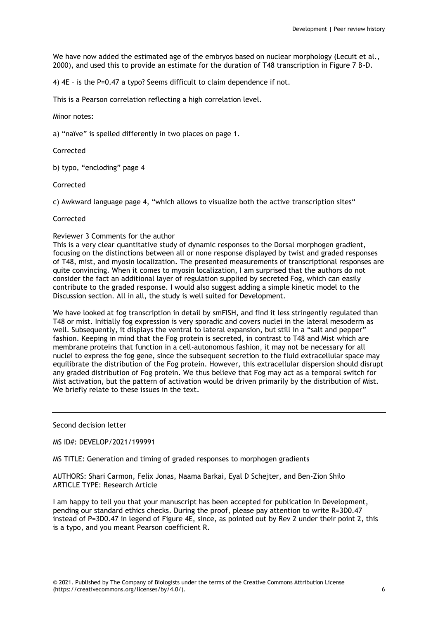We have now added the estimated age of the embryos based on nuclear morphology (Lecuit et al., 2000), and used this to provide an estimate for the duration of T48 transcription in Figure 7 B-D.

4) 4E – is the P=0.47 a typo? Seems difficult to claim dependence if not.

This is a Pearson correlation reflecting a high correlation level.

Minor notes:

a) "naïve" is spelled differently in two places on page 1.

**Corrected** 

b) typo, "encloding" page 4

Corrected

c) Awkward language page 4, "which allows to visualize both the active transcription sites"

#### Corrected

### Reviewer 3 Comments for the author

This is a very clear quantitative study of dynamic responses to the Dorsal morphogen gradient, focusing on the distinctions between all or none response displayed by twist and graded responses of T48, mist, and myosin localization. The presented measurements of transcriptional responses are quite convincing. When it comes to myosin localization, I am surprised that the authors do not consider the fact an additional layer of regulation supplied by secreted Fog, which can easily contribute to the graded response. I would also suggest adding a simple kinetic model to the Discussion section. All in all, the study is well suited for Development.

We have looked at fog transcription in detail by smFISH, and find it less stringently regulated than T48 or mist. Initially fog expression is very sporadic and covers nuclei in the lateral mesoderm as well. Subsequently, it displays the ventral to lateral expansion, but still in a "salt and pepper" fashion. Keeping in mind that the Fog protein is secreted, in contrast to T48 and Mist which are membrane proteins that function in a cell-autonomous fashion, it may not be necessary for all nuclei to express the fog gene, since the subsequent secretion to the fluid extracellular space may equilibrate the distribution of the Fog protein. However, this extracellular dispersion should disrupt any graded distribution of Fog protein. We thus believe that Fog may act as a temporal switch for Mist activation, but the pattern of activation would be driven primarily by the distribution of Mist. We briefly relate to these issues in the text.

#### Second decision letter

MS ID#: DEVELOP/2021/199991

MS TITLE: Generation and timing of graded responses to morphogen gradients

AUTHORS: Shari Carmon, Felix Jonas, Naama Barkai, Eyal D Schejter, and Ben-Zion Shilo ARTICLE TYPE: Research Article

I am happy to tell you that your manuscript has been accepted for publication in Development, pending our standard ethics checks. During the proof, please pay attention to write R=3D0.47 instead of P=3D0.47 in legend of Figure 4E, since, as pointed out by Rev 2 under their point 2, this is a typo, and you meant Pearson coefficient R.